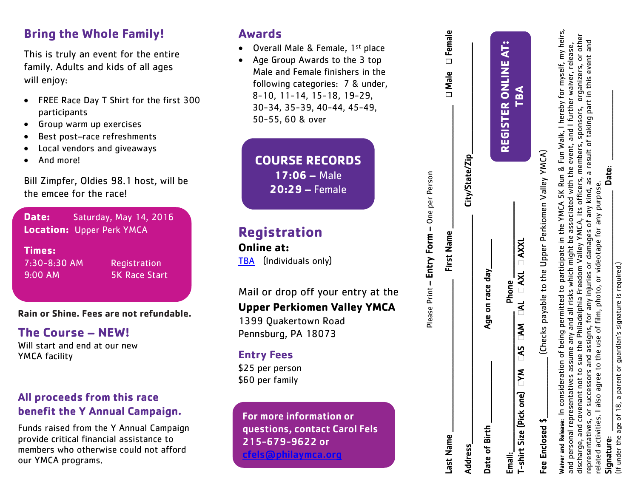### **Bring the Whole Family!**

This is truly an event for the entire family. Adults and kids of all ages will enjoy:

- FREE Race Day T Shirt for the first 300 participants
- Group warm up exercises
- Best post–race refreshments
- Local vendors and giveaways
- And more!

Bill Zimpfer, Oldies 98.1 host, will be the emcee for the race!

**Date:** Saturday, May 14, 2016 **Location:** Upper Perk YMCA

**Times:**  7:30-8:30 AM

**Registration** 9:00 AM 5K Race Start

#### **Rain or Shine. Fees are not refundable .**

**The Course – NEW!**

Will start and end at our new YMCA facility

### **All proceeds from this race benefit the Y Annual Campaign.**

Funds raised from the Y Annual Campaign provide critical financial assistance to members who otherwise could not afford our YMCA programs.

### **Awards**

- Overall Male & Female, 1<sup>st</sup> place
- Age Group Awards to the 3 top Male and Female finishers in the following categories: 7 & under , 8 -10, 11 -14, 15 -18, 1 9 -29, 30 -34, 35 -39, 40 -44, 45 -49, 50 - 55, 60 & over

**COURSE RECORDS 17:06 –** Male **20:29 –** Female

### **Registration**

**Online at:** [TBA](https://www.runtheday.com/registration/race_info/30746) (Individuals only)

Mail or drop off your entry at the

### **Upper Perkiomen Valley YMCA**

1399 Quakertown Road Pennsburg, PA 18073

### **Entry Fees**

\$2 5 per person \$ 60 per family

For more information or questions, contact Carol Fels 215 -679 -9622 or [cfels@philaymca.org](mailto:cfels@philaymca.org)

| Last Name       | First Name                                                                                                                                                                                                                                                                                                                                                                                                                                                                                                                                                                                                                                | □ Male □ Female     |
|-----------------|-------------------------------------------------------------------------------------------------------------------------------------------------------------------------------------------------------------------------------------------------------------------------------------------------------------------------------------------------------------------------------------------------------------------------------------------------------------------------------------------------------------------------------------------------------------------------------------------------------------------------------------------|---------------------|
| Address         | City/State/Zip                                                                                                                                                                                                                                                                                                                                                                                                                                                                                                                                                                                                                            |                     |
| Date of Birth   | Age on race day                                                                                                                                                                                                                                                                                                                                                                                                                                                                                                                                                                                                                           |                     |
| Email:          | Phone                                                                                                                                                                                                                                                                                                                                                                                                                                                                                                                                                                                                                                     | REGISTER ONLINE AT: |
|                 | $T$ -shirt Size (Pick one) DNS DAM DAL DAXL DAXL                                                                                                                                                                                                                                                                                                                                                                                                                                                                                                                                                                                          | TBA<br>T            |
| Fee Enclosed \$ | (Checks payable to the Upper Perkiomen Valley YMCA)                                                                                                                                                                                                                                                                                                                                                                                                                                                                                                                                                                                       |                     |
|                 | Waiver and Release: In consideration of being permitted to participate in the YMCA 5K Run & Fun Walk, I hereby for myself, my heirs,<br>discharge, and covenant not to sue the Philadelphia Freedom Valley YMCA, its officers, members, sponsors, organizers, or other<br>epresentatives, or successors and assigns, for any injuries or damages of any kind, as a result of taking part in this event and<br>and personal representatives assume any and all risks which might be associated with the event, and I further waiver, release,<br>related activities. I also agree to the use of film, photo, or videotape for any purpose. |                     |

Please Print – Entry Form – One per Person

Please Print - Entry Form - One per Person

Signature: \_\_\_\_\_\_\_\_\_\_\_\_\_\_\_\_\_\_\_\_\_\_\_\_\_\_\_\_\_\_\_\_\_\_\_\_\_\_\_\_\_\_\_\_\_\_\_\_\_\_\_\_\_\_\_\_\_\_\_\_\_\_\_\_\_\_\_\_\_\_\_\_\_\_\_\_\_\_\_\_\_\_ Date: \_\_\_\_\_\_\_\_\_\_\_\_\_\_\_\_\_\_\_\_\_\_\_\_ (If under the age of 18, a parent or guardian's signature is required.) under the age of 18, a parent or guardian's signature is required.)  $\,$ Signature:

Date: